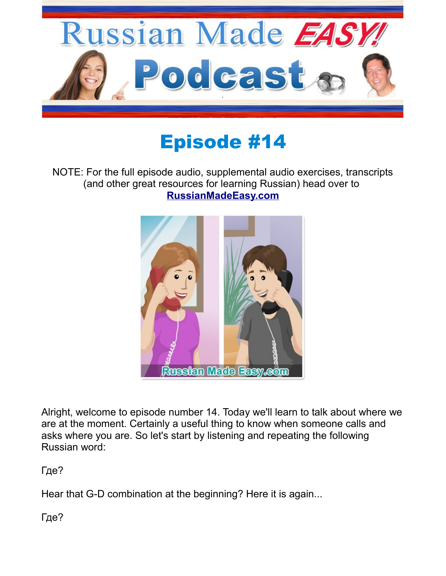

## Episode #14

## NOTE: For the full episode audio, supplemental audio exercises, transcripts (and other great resources for learning Russian) head over to **[RussianMadeEasy.com](http://russianmadeeasy.com/)**



Alright, welcome to episode number 14. Today we'll learn to talk about where we are at the moment. Certainly a useful thing to know when someone calls and asks where you are. So let's start by listening and repeating the following Russian word:

Где?

Hear that G-D combination at the beginning? Here it is again...

Где?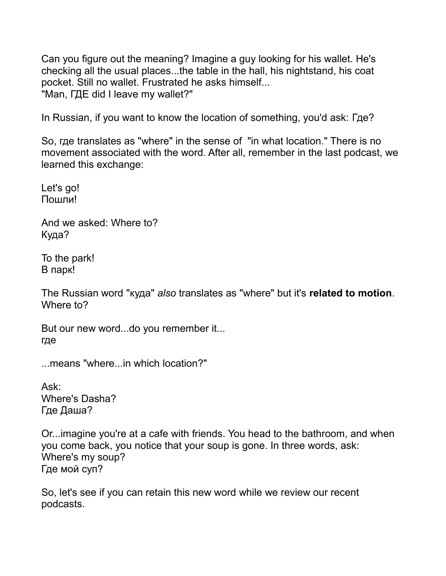Can you figure out the meaning? Imagine a guy looking for his wallet. He's checking all the usual places...the table in the hall, his nightstand, his coat pocket. Still no wallet. Frustrated he asks himself... "Man, ГДЕ did I leave my wallet?"

In Russian, if you want to know the location of something, you'd ask: Где?

So, где translates as "where" in the sense of "in what location." There is no movement associated with the word. After all, remember in the last podcast, we learned this exchange:

Let's go! Пошли!

And we asked: Where to? Куда?

To the park! В парк!

The Russian word "куда" *also* translates as "where" but it's **related to motion**. Where to?

But our new word...do you remember it... где

...means "where...in which location?"

Ask: Where's Dasha? Где Даша?

Or...imagine you're at a cafe with friends. You head to the bathroom, and when you come back, you notice that your soup is gone. In three words, ask: Where's my soup? Где мой суп?

So, let's see if you can retain this new word while we review our recent podcasts.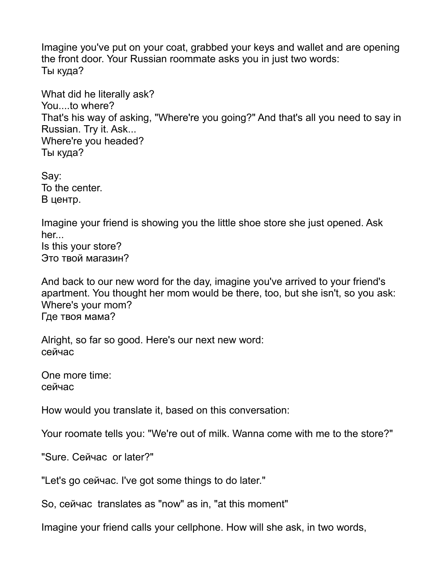Imagine you've put on your coat, grabbed your keys and wallet and are opening the front door. Your Russian roommate asks you in just two words: Ты куда?

What did he literally ask? You....to where? That's his way of asking, "Where're you going?" And that's all you need to say in Russian. Try it. Ask... Where're you headed? Ты куда?

Say: To the center. В центр.

Imagine your friend is showing you the little shoe store she just opened. Ask her... Is this your store? Это твой магазин?

And back to our new word for the day, imagine you've arrived to your friend's apartment. You thought her mom would be there, too, but she isn't, so you ask: Where's your mom? Где твоя мама?

Alright, so far so good. Here's our next new word: сейчас

One more time: сейчас

How would you translate it, based on this conversation:

Your roomate tells you: "We're out of milk. Wanna come with me to the store?"

"Sure. Сейчас or later?"

"Let's go сейчас. I've got some things to do later."

So, сейчас translates as "now" as in, "at this moment"

Imagine your friend calls your cellphone. How will she ask, in two words,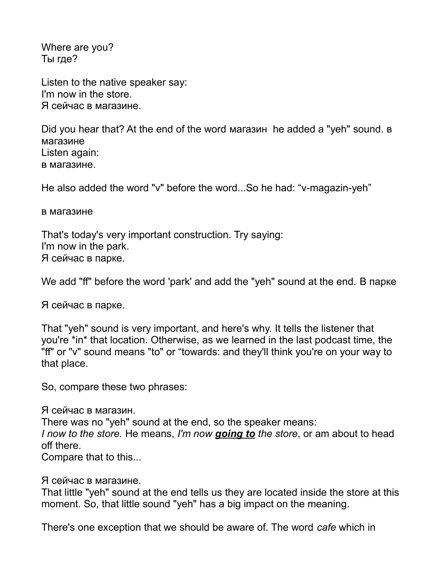Where are you? Ты где?

Listen to the native speaker say: I'm now in the store. Я сейчас в магазине.

Did you hear that? At the end of the word магазин he added a "yeh" sound. в магазине Listen again: в магазине.

He also added the word "v" before the word...So he had: "v-magazin-yeh"

в магазине

That's today's very important construction. Try saying: I'm now in the park. Я сейчас в парке.

We add "ff" before the word 'park' and add the "yeh" sound at the end. В парке

Я сейчас в парке.

That "yeh" sound is very important, and here's why. It tells the listener that you're \*in\* that location. Otherwise, as we learned in the last podcast time, the "ff" or "v" sound means "to" or "towards: and they'll think you're on your way to that place.

So, compare these two phrases:

Я сейчас в магазин. There was no "yeh" sound at the end, so the speaker means: *I now to the store.* He means, *I'm now going to the store*, or am about to head off there.

Compare that to this...

Я сейчас в магазине.

That little "yeh" sound at the end tells us they are located inside the store at this moment. So, that little sound "yeh" has a big impact on the meaning.

There's one exception that we should be aware of. The word *cafe* which in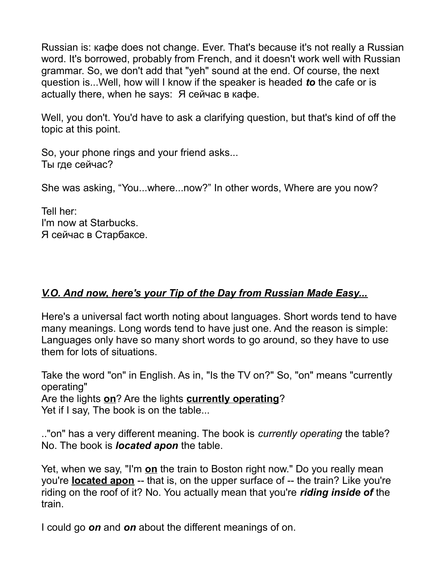Russian is: кафе does not change. Ever. That's because it's not really a Russian word. It's borrowed, probably from French, and it doesn't work well with Russian grammar. So, we don't add that "yeh" sound at the end. Of course, the next question is...Well, how will I know if the speaker is headed *to* the cafe or is actually there, when he says: Я сейчас в кафе.

Well, you don't. You'd have to ask a clarifying question, but that's kind of off the topic at this point.

So, your phone rings and your friend asks... Ты где сейчас?

She was asking, "You...where...now?" In other words, Where are you now?

Tell her: I'm now at Starbucks. Я сейчас в Старбаксе.

## *V.O. And now, here's your Tip of the Day from Russian Made Easy...*

Here's a universal fact worth noting about languages. Short words tend to have many meanings. Long words tend to have just one. And the reason is simple: Languages only have so many short words to go around, so they have to use them for lots of situations.

Take the word "on" in English. As in, "Is the TV on?" So, "on" means "currently operating"

Are the lights **on**? Are the lights **currently operating**? Yet if I say, The book is on the table...

.."on" has a very different meaning. The book is *currently operating* the table? No. The book is *located apon* the table.

Yet, when we say, "I'm **on** the train to Boston right now." Do you really mean you're **located apon** -- that is, on the upper surface of -- the train? Like you're riding on the roof of it? No. You actually mean that you're *riding inside of* the train.

I could go *on* and *on* about the different meanings of on.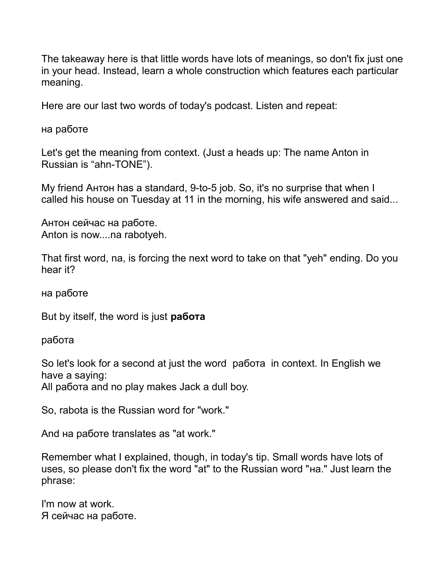The takeaway here is that little words have lots of meanings, so don't fix just one in your head. Instead, learn a whole construction which features each particular meaning.

Here are our last two words of today's podcast. Listen and repeat:

на работе

Let's get the meaning from context. (Just a heads up: The name Anton in Russian is "ahn-TONE").

My friend Антон has a standard, 9-to-5 job. So, it's no surprise that when I called his house on Tuesday at 11 in the morning, his wife answered and said...

Антон сейчас на работе. Anton is now....na rabotyeh.

That first word, na, is forcing the next word to take on that "yeh" ending. Do you hear it?

на работе

But by itself, the word is just **работа**

работа

So let's look for a second at just the word работа in context. In English we have a saying:

All работа and no play makes Jack a dull boy.

So, rabota is the Russian word for "work."

And на работе translates as "at work."

Remember what I explained, though, in today's tip. Small words have lots of uses, so please don't fix the word "at" to the Russian word "на." Just learn the phrase:

I'm now at work. Я сейчас на работе.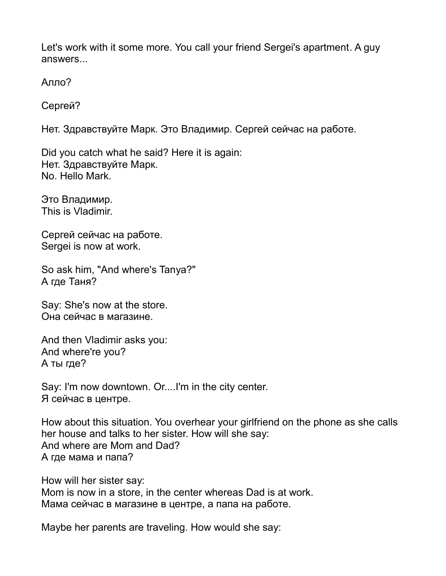Let's work with it some more. You call your friend Sergei's apartment. A guy answers...

Алло?

Сергей?

Нет. Здравствуйте Марк. Это Владимир. Сергей сейчас на работе.

Did you catch what he said? Here it is again: Нет. Здравствуйте Марк. No. Hello Mark.

Это Владимир. This is Vladimir.

Сергей сейчас на работе. Sergei is now at work.

So ask him, "And where's Tanya?" А где Таня?

Say: She's now at the store. Она сейчас в магазине.

And then Vladimir asks you: And where're you? А ты где?

Say: I'm now downtown. Or....I'm in the city center. Я сейчас в центре.

How about this situation. You overhear your girlfriend on the phone as she calls her house and talks to her sister. How will she say: And where are Mom and Dad? А где мама и папа?

How will her sister say: Mom is now in a store, in the center whereas Dad is at work. Мама сейчас в магазине в центре, а папа на работе.

Maybe her parents are traveling. How would she say: